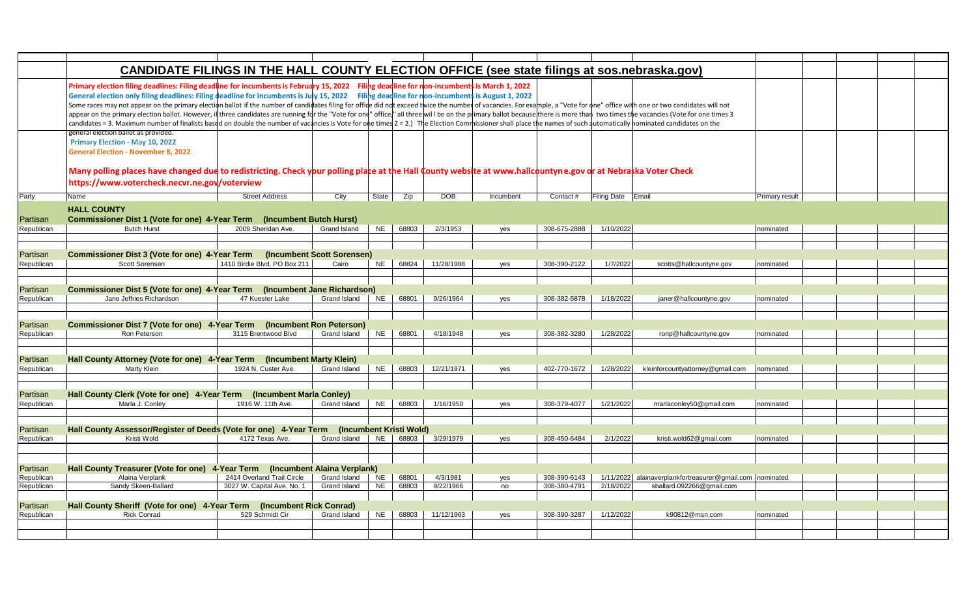|                        | CANDIDATE FILINGS IN THE HALL COUNTY ELECTION OFFICE (see state filings at sos.nebraska.gov)                                                                                                                                                                                                                                                                                                                                                                                                                                                                                                                                                                                                                                                                                                                                                                                                                                                                                         |                              |              |                        |       |            |           |              |                   |                                                          |                       |  |
|------------------------|--------------------------------------------------------------------------------------------------------------------------------------------------------------------------------------------------------------------------------------------------------------------------------------------------------------------------------------------------------------------------------------------------------------------------------------------------------------------------------------------------------------------------------------------------------------------------------------------------------------------------------------------------------------------------------------------------------------------------------------------------------------------------------------------------------------------------------------------------------------------------------------------------------------------------------------------------------------------------------------|------------------------------|--------------|------------------------|-------|------------|-----------|--------------|-------------------|----------------------------------------------------------|-----------------------|--|
|                        | Primary election filing deadlines: Filing deadline for incumbents is February 15, 2022 Filing deadline for non-incumbents is March 1, 2022<br>General election only filing deadlines: Filing deadline for incumbents is July 15, 2022 Filing deadline for non-incumbents is August 1, 2022<br>Some races may not appear on the primary election ballot if the number of candidates filing for offide did ndt exceed twice the number of vacancies. For example, a "Vote for one" office with one or two candidates will not<br>appear on the primary election ballot. However, if three candidates are running for the "Vote for one" office," all three will be on the primary ballot because there is more than two times the vacancies (Vote for one times<br>candidates = 3. Maximum number of finalists based on double the number of vacancies is Vote for one times 2 = 2.) The Election Commissioner shall place the names of such automatically nominated candidates on the |                              |              |                        |       |            |           |              |                   |                                                          |                       |  |
|                        | general election ballot as provided.<br>Primary Election - May 10, 2022<br><b>General Election - November 8, 2022</b><br>Many polling places have changed due to redistricting. Check your polling place at the Hall County website at www.hallcountyne.gov dr at Nebraska Voter Check<br>https://www.votercheck.necvr.ne.gov/voterview                                                                                                                                                                                                                                                                                                                                                                                                                                                                                                                                                                                                                                              |                              |              |                        |       |            |           |              |                   |                                                          |                       |  |
| Party                  | Name                                                                                                                                                                                                                                                                                                                                                                                                                                                                                                                                                                                                                                                                                                                                                                                                                                                                                                                                                                                 | <b>Street Address</b>        | City         | State                  | Zip   | <b>DOB</b> | Incumbent | Contact#     | Filing Date Email |                                                          | <b>Primary result</b> |  |
| Partisan               | <b>HALL COUNTY</b><br>Commissioner Dist 1 (Vote for one) 4-Year Term (Incumbent Butch Hurst)                                                                                                                                                                                                                                                                                                                                                                                                                                                                                                                                                                                                                                                                                                                                                                                                                                                                                         |                              |              |                        |       |            |           |              |                   |                                                          |                       |  |
| Republican             | <b>Butch Hurst</b>                                                                                                                                                                                                                                                                                                                                                                                                                                                                                                                                                                                                                                                                                                                                                                                                                                                                                                                                                                   | 2009 Sheridan Ave.           | Grand Island | <b>NE</b>              | 68803 | 2/3/1953   | yes       | 308-675-2888 | 1/10/2022         |                                                          | nominated             |  |
|                        |                                                                                                                                                                                                                                                                                                                                                                                                                                                                                                                                                                                                                                                                                                                                                                                                                                                                                                                                                                                      |                              |              |                        |       |            |           |              |                   |                                                          |                       |  |
| Partisan               | Commissioner Dist 3 (Vote for one) 4-Year Term (Incumbent Scott Sorensen)                                                                                                                                                                                                                                                                                                                                                                                                                                                                                                                                                                                                                                                                                                                                                                                                                                                                                                            |                              |              |                        |       |            |           |              |                   |                                                          |                       |  |
| Republican             | Scott Sorensen                                                                                                                                                                                                                                                                                                                                                                                                                                                                                                                                                                                                                                                                                                                                                                                                                                                                                                                                                                       | 1410 Birdie Blvd, PO Box 211 | Cairo        | <b>NE</b>              | 68824 | 11/28/1988 | yes       | 308-390-2122 | 1/7/2022          | scotts@hallcountyne.gov                                  | nominated             |  |
|                        |                                                                                                                                                                                                                                                                                                                                                                                                                                                                                                                                                                                                                                                                                                                                                                                                                                                                                                                                                                                      |                              |              |                        |       |            |           |              |                   |                                                          |                       |  |
|                        |                                                                                                                                                                                                                                                                                                                                                                                                                                                                                                                                                                                                                                                                                                                                                                                                                                                                                                                                                                                      |                              |              |                        |       |            |           |              |                   |                                                          |                       |  |
| Partisan               | Commissioner Dist 5 (Vote for one) 4-Year Term (Incumbent Jane Richardson)                                                                                                                                                                                                                                                                                                                                                                                                                                                                                                                                                                                                                                                                                                                                                                                                                                                                                                           |                              |              |                        |       |            |           |              |                   |                                                          |                       |  |
| Republican             | Jane Jeffries Richardson                                                                                                                                                                                                                                                                                                                                                                                                                                                                                                                                                                                                                                                                                                                                                                                                                                                                                                                                                             | 47 Kuester Lake              | Grand Island | <b>NE</b>              | 68801 | 9/26/1964  | yes       | 308-382-5878 | 1/18/2022         | janer@hallcountyne.gov                                   | Inominated            |  |
|                        |                                                                                                                                                                                                                                                                                                                                                                                                                                                                                                                                                                                                                                                                                                                                                                                                                                                                                                                                                                                      |                              |              |                        |       |            |           |              |                   |                                                          |                       |  |
| Partisan               | Commissioner Dist 7 (Vote for one) 4-Year Term (Incumbent Ron Peterson)                                                                                                                                                                                                                                                                                                                                                                                                                                                                                                                                                                                                                                                                                                                                                                                                                                                                                                              |                              |              |                        |       |            |           |              |                   |                                                          |                       |  |
| Republican             | Ron Peterson                                                                                                                                                                                                                                                                                                                                                                                                                                                                                                                                                                                                                                                                                                                                                                                                                                                                                                                                                                         | 3115 Brentwood Blvd          | Grand Island | <b>NE</b>              | 68801 | 4/18/1948  | yes       | 308-382-3280 | 1/28/2022         | ronp@hallcountyne.gov                                    | nominated             |  |
|                        |                                                                                                                                                                                                                                                                                                                                                                                                                                                                                                                                                                                                                                                                                                                                                                                                                                                                                                                                                                                      |                              |              |                        |       |            |           |              |                   |                                                          |                       |  |
|                        |                                                                                                                                                                                                                                                                                                                                                                                                                                                                                                                                                                                                                                                                                                                                                                                                                                                                                                                                                                                      |                              |              |                        |       |            |           |              |                   |                                                          |                       |  |
| Partisan               | Hall County Attorney (Vote for one) 4-Year Term (Incumbent Marty Klein)                                                                                                                                                                                                                                                                                                                                                                                                                                                                                                                                                                                                                                                                                                                                                                                                                                                                                                              |                              |              |                        |       |            |           |              |                   |                                                          |                       |  |
| Republican             | Marty Klein                                                                                                                                                                                                                                                                                                                                                                                                                                                                                                                                                                                                                                                                                                                                                                                                                                                                                                                                                                          | 1924 N. Custer Ave.          | Grand Island | <b>NE</b>              | 68803 | 12/21/1971 | yes       | 402-770-1672 | 1/28/2022         | kleinforcountyattorney@gmail.com                         | nominated             |  |
|                        |                                                                                                                                                                                                                                                                                                                                                                                                                                                                                                                                                                                                                                                                                                                                                                                                                                                                                                                                                                                      |                              |              |                        |       |            |           |              |                   |                                                          |                       |  |
| Partisan               | Hall County Clerk (Vote for one) 4-Year Term (Incumbent Marla Conley)                                                                                                                                                                                                                                                                                                                                                                                                                                                                                                                                                                                                                                                                                                                                                                                                                                                                                                                |                              |              |                        |       |            |           |              |                   |                                                          |                       |  |
| Republican             | Marla J. Conley                                                                                                                                                                                                                                                                                                                                                                                                                                                                                                                                                                                                                                                                                                                                                                                                                                                                                                                                                                      | 1916 W. 11th Ave.            | Grand Island | <b>NE</b>              | 68803 | 1/16/1950  | yes       | 308-379-4077 | 1/21/2022         | marlaconley50@gmail.com                                  | nominated             |  |
|                        |                                                                                                                                                                                                                                                                                                                                                                                                                                                                                                                                                                                                                                                                                                                                                                                                                                                                                                                                                                                      |                              |              |                        |       |            |           |              |                   |                                                          |                       |  |
|                        |                                                                                                                                                                                                                                                                                                                                                                                                                                                                                                                                                                                                                                                                                                                                                                                                                                                                                                                                                                                      |                              |              |                        |       |            |           |              |                   |                                                          |                       |  |
| Partisan               | Hall County Assessor/Register of Deeds (Vote for one) 4-Year Term (Incumbent Kristi Wold)                                                                                                                                                                                                                                                                                                                                                                                                                                                                                                                                                                                                                                                                                                                                                                                                                                                                                            |                              |              |                        |       |            |           |              |                   |                                                          |                       |  |
| Republican             | Kristi Wold                                                                                                                                                                                                                                                                                                                                                                                                                                                                                                                                                                                                                                                                                                                                                                                                                                                                                                                                                                          | 4172 Texas Ave.              | Grand Island | <b>NE</b>              | 68803 | 3/29/1979  | yes       | 308-450-6484 | 2/1/2022          | kristi.wold62@gmail.com                                  | nominated             |  |
|                        |                                                                                                                                                                                                                                                                                                                                                                                                                                                                                                                                                                                                                                                                                                                                                                                                                                                                                                                                                                                      |                              |              |                        |       |            |           |              |                   |                                                          |                       |  |
|                        |                                                                                                                                                                                                                                                                                                                                                                                                                                                                                                                                                                                                                                                                                                                                                                                                                                                                                                                                                                                      |                              |              |                        |       |            |           |              |                   |                                                          |                       |  |
| Partisan               | Hall County Treasurer (Vote for one) 4-Year Term (Incumbent Alaina Verplank)                                                                                                                                                                                                                                                                                                                                                                                                                                                                                                                                                                                                                                                                                                                                                                                                                                                                                                         |                              |              |                        |       |            |           |              |                   |                                                          |                       |  |
| Republican             | Alaina Verplank                                                                                                                                                                                                                                                                                                                                                                                                                                                                                                                                                                                                                                                                                                                                                                                                                                                                                                                                                                      | 2414 Overland Trail Circle   | Grand Island | <b>NE</b><br><b>NE</b> | 68801 | 4/3/1981   | yes       | 308-390-6143 |                   | 1/11/2022 alainaverplankfortreasurer@gmail.com nominated |                       |  |
| Republican             | Sandy Skeen-Ballard                                                                                                                                                                                                                                                                                                                                                                                                                                                                                                                                                                                                                                                                                                                                                                                                                                                                                                                                                                  | 3027 W. Capital Ave. No. 1   | Grand Island |                        | 68803 | 9/22/1966  | no        | 308-380-4791 | 2/18/2022         | sballard.092266@gmail.com                                |                       |  |
|                        | Hall County Sheriff (Vote for one) 4-Year Term                                                                                                                                                                                                                                                                                                                                                                                                                                                                                                                                                                                                                                                                                                                                                                                                                                                                                                                                       | (Incumbent Rick Conrad)      |              |                        |       |            |           |              |                   |                                                          |                       |  |
| Partisan<br>Republican | <b>Rick Conrad</b>                                                                                                                                                                                                                                                                                                                                                                                                                                                                                                                                                                                                                                                                                                                                                                                                                                                                                                                                                                   | 529 Schmidt Cir              | Grand Island | <b>NE</b>              | 68803 | 11/12/1963 | yes       | 308-390-3287 | 1/12/2022         | k90812@msn.com                                           | nominated             |  |
|                        |                                                                                                                                                                                                                                                                                                                                                                                                                                                                                                                                                                                                                                                                                                                                                                                                                                                                                                                                                                                      |                              |              |                        |       |            |           |              |                   |                                                          |                       |  |
|                        |                                                                                                                                                                                                                                                                                                                                                                                                                                                                                                                                                                                                                                                                                                                                                                                                                                                                                                                                                                                      |                              |              |                        |       |            |           |              |                   |                                                          |                       |  |
|                        |                                                                                                                                                                                                                                                                                                                                                                                                                                                                                                                                                                                                                                                                                                                                                                                                                                                                                                                                                                                      |                              |              |                        |       |            |           |              |                   |                                                          |                       |  |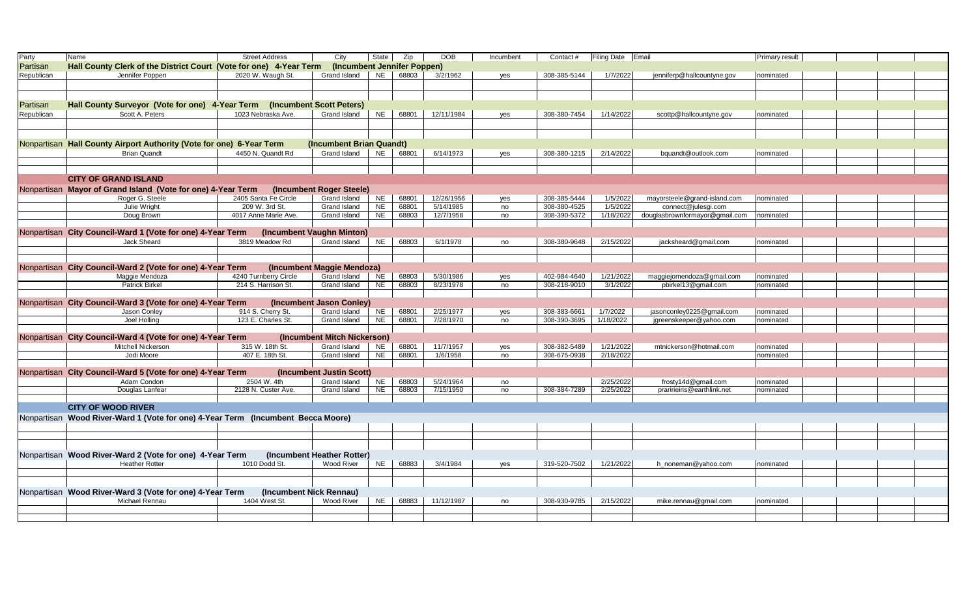| Party      | Name                                                                                        | <b>Street Address</b>   | City                        | <b>State</b> | Zip   | <b>DOB</b> | Incumbent | Contact#     | Filing Date Email |                                | Primary result |  |  |
|------------|---------------------------------------------------------------------------------------------|-------------------------|-----------------------------|--------------|-------|------------|-----------|--------------|-------------------|--------------------------------|----------------|--|--|
| Partisan   | Hall County Clerk of the District Court (Vote for one) 4-Year Term                          |                         | (Incumbent Jennifer Poppen) |              |       |            |           |              |                   |                                |                |  |  |
| Republican | Jennifer Poppen                                                                             | 2020 W. Waugh St.       | Grand Island                | <b>NE</b>    | 68803 | 3/2/1962   | yes       | 308-385-5144 | 1/7/2022          | jenniferp@hallcountyne.gov     | nominated      |  |  |
|            |                                                                                             |                         |                             |              |       |            |           |              |                   |                                |                |  |  |
|            |                                                                                             |                         |                             |              |       |            |           |              |                   |                                |                |  |  |
|            |                                                                                             |                         |                             |              |       |            |           |              |                   |                                |                |  |  |
| Partisan   | Hall County Surveyor (Vote for one) 4-Year Term (Incumbent Scott Peters)<br>Scott A. Peters | 1023 Nebraska Ave.      |                             |              |       |            |           | 308-380-7454 |                   |                                |                |  |  |
| Republican |                                                                                             |                         | Grand Island                | <b>NE</b>    | 68801 | 12/11/1984 | yes       |              | 1/14/2022         | scottp@hallcountyne.gov        | nominated      |  |  |
|            |                                                                                             |                         |                             |              |       |            |           |              |                   |                                |                |  |  |
|            |                                                                                             |                         |                             |              |       |            |           |              |                   |                                |                |  |  |
|            | Nonpartisan Hall County Airport Authority (Vote for one) 6-Year Term                        |                         | (Incumbent Brian Quandt)    |              |       |            |           |              |                   |                                |                |  |  |
|            | <b>Brian Quandt</b>                                                                         | 4450 N. Quandt Rd       | Grand Island                | <b>NE</b>    | 68801 | 6/14/1973  | yes       | 308-380-1215 | 2/14/2022         | bquandt@outlook.com            | nominated      |  |  |
|            |                                                                                             |                         |                             |              |       |            |           |              |                   |                                |                |  |  |
|            |                                                                                             |                         |                             |              |       |            |           |              |                   |                                |                |  |  |
|            | <b>CITY OF GRAND ISLAND</b>                                                                 |                         |                             |              |       |            |           |              |                   |                                |                |  |  |
|            | Nonpartisan Mayor of Grand Island (Vote for one) 4-Year Term                                |                         | (Incumbent Roger Steele)    |              |       |            |           |              |                   |                                |                |  |  |
|            | Roger G. Steele                                                                             | 2405 Santa Fe Circle    | Grand Island                | <b>NE</b>    | 68801 | 12/26/1956 | yes       | 308-385-5444 | 1/5/2022          | mayorsteele@grand-island.com   | nominated      |  |  |
|            | Julie Wright                                                                                | 209 W. 3rd St.          | Grand Island                | <b>NE</b>    | 68801 | 5/14/1985  | no        | 308-380-4525 | 1/5/2022          | connect@julesgi.com            |                |  |  |
|            | Doug Brown                                                                                  | 4017 Anne Marie Ave.    | Grand Island                | <b>NE</b>    | 68803 | 12/7/1958  | no        | 308-390-5372 | 1/18/2022         | douglasbrownformayor@gmail.com | nominated      |  |  |
|            |                                                                                             |                         |                             |              |       |            |           |              |                   |                                |                |  |  |
|            | Nonpartisan City Council-Ward 1 (Vote for one) 4-Year Term                                  |                         | (Incumbent Vaughn Minton)   |              |       |            |           |              |                   |                                |                |  |  |
|            | Jack Sheard                                                                                 | 3819 Meadow Rd          | Grand Island                | <b>NE</b>    | 68803 | 6/1/1978   | no        | 308-380-9648 | 2/15/2022         | jacksheard@gmail.com           | nominated      |  |  |
|            |                                                                                             |                         |                             |              |       |            |           |              |                   |                                |                |  |  |
|            |                                                                                             |                         |                             |              |       |            |           |              |                   |                                |                |  |  |
|            | Nonpartisan City Council-Ward 2 (Vote for one) 4-Year Term                                  |                         | (Incumbent Maggie Mendoza)  |              |       |            |           |              |                   |                                |                |  |  |
|            | Maggie Mendoza                                                                              | 4240 Turnberry Circle   | Grand Island                | <b>NE</b>    | 68803 | 5/30/1986  | yes       | 402-984-4640 | 1/21/2022         | maggiejomendoza@gmail.com      | nominated      |  |  |
|            | <b>Patrick Birkel</b>                                                                       | 214 S. Harrison St.     | Grand Island                | <b>NE</b>    | 68803 | 8/23/1978  | no        | 308-218-9010 | 3/1/2022          | pbirkel13@gmail.com            | nominated      |  |  |
|            |                                                                                             |                         |                             |              |       |            |           |              |                   |                                |                |  |  |
|            | Nonpartisan City Council-Ward 3 (Vote for one) 4-Year Term                                  |                         | (Incumbent Jason Conley)    |              |       |            |           |              |                   |                                |                |  |  |
|            | Jason Conley                                                                                | 914 S. Cherry St.       | Grand Island                | NE           | 68801 | 2/25/1977  | yes       | 308-383-6661 | 1/7/2022          | jasonconley0225@gmail.com      | nominated      |  |  |
|            | Joel Holling                                                                                | 123 E. Charles St.      | Grand Island                | <b>NE</b>    | 68801 | 7/28/1970  | no        | 308-390-3695 | 1/18/2022         | jgreenskeeper@yahoo.com        | nominated      |  |  |
|            |                                                                                             |                         |                             |              |       |            |           |              |                   |                                |                |  |  |
|            | Nonpartisan City Council-Ward 4 (Vote for one) 4-Year Term                                  |                         | (Incumbent Mitch Nickerson) |              |       |            |           |              |                   |                                |                |  |  |
|            | <b>Mitchell Nickerson</b>                                                                   | 315 W. 18th St.         | Grand Island                | <b>NE</b>    | 68801 | 11/7/1957  | yes       | 308-382-5489 | 1/21/2022         | mtnickerson@hotmail.com        | nominated      |  |  |
|            | Jodi Moore                                                                                  | 407 E. 18th St.         | Grand Island                | <b>NE</b>    | 68801 | 1/6/1958   | no        | 308-675-0938 | 2/18/2022         |                                | nominated      |  |  |
|            | Nonpartisan City Council-Ward 5 (Vote for one) 4-Year Term                                  |                         | (Incumbent Justin Scott)    |              |       |            |           |              |                   |                                |                |  |  |
|            | Adam Condon                                                                                 | 2504 W. 4th             | Grand Island                | <b>NE</b>    | 68803 | 5/24/1964  |           |              | 2/25/2022         | frosty14d@gmail.com            | nominated      |  |  |
|            | Douglas Lanfear                                                                             | 2128 N. Custer Ave.     | Grand Island                | <b>NE</b>    | 68803 | 7/15/1950  | no<br>no  | 308-384-7289 | 2/25/2022         | praririeiris@earthlink.net     | nominated      |  |  |
|            |                                                                                             |                         |                             |              |       |            |           |              |                   |                                |                |  |  |
|            | <b>CITY OF WOOD RIVER</b>                                                                   |                         |                             |              |       |            |           |              |                   |                                |                |  |  |
|            |                                                                                             |                         |                             |              |       |            |           |              |                   |                                |                |  |  |
|            | Nonpartisan Wood River-Ward 1 (Vote for one) 4-Year Term (Incumbent Becca Moore)            |                         |                             |              |       |            |           |              |                   |                                |                |  |  |
|            |                                                                                             |                         |                             |              |       |            |           |              |                   |                                |                |  |  |
|            |                                                                                             |                         |                             |              |       |            |           |              |                   |                                |                |  |  |
|            |                                                                                             |                         |                             |              |       |            |           |              |                   |                                |                |  |  |
|            | Nonpartisan Wood River-Ward 2 (Vote for one) 4-Year Term                                    |                         | (Incumbent Heather Rotter)  |              |       |            |           |              |                   |                                |                |  |  |
|            | <b>Heather Rotter</b>                                                                       | 1010 Dodd St.           | Wood River                  | <b>NE</b>    | 68883 | 3/4/1984   | yes       | 319-520-7502 | 1/21/2022         | h_noneman@yahoo.com            | nominated      |  |  |
|            |                                                                                             |                         |                             |              |       |            |           |              |                   |                                |                |  |  |
|            |                                                                                             |                         |                             |              |       |            |           |              |                   |                                |                |  |  |
|            | Nonpartisan Wood River-Ward 3 (Vote for one) 4-Year Term                                    | (Incumbent Nick Rennau) |                             |              |       |            |           |              |                   |                                |                |  |  |
|            | Michael Rennau                                                                              | 1404 West St.           | Wood River                  | <b>NE</b>    | 68883 | 11/12/1987 | no        | 308-930-9785 | 2/15/2022         | mike.rennau@gmail.com          | nominated      |  |  |
|            |                                                                                             |                         |                             |              |       |            |           |              |                   |                                |                |  |  |
|            |                                                                                             |                         |                             |              |       |            |           |              |                   |                                |                |  |  |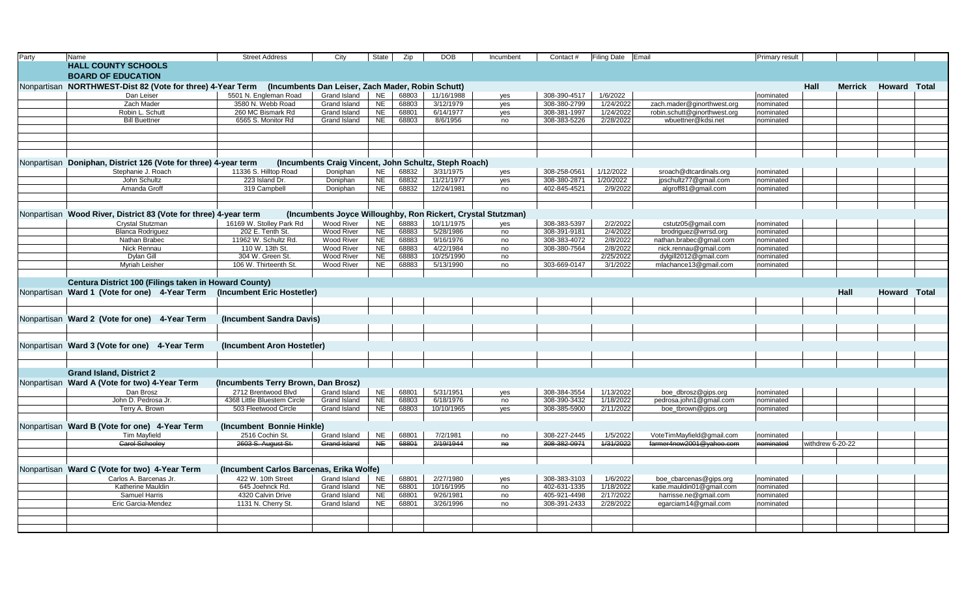| Party | Name                                                             | <b>Street Address</b>                    | City                                                         | State                  | Zip            | <b>DOB</b>              | Incumbent | Contact #                    | <b>Filing Date</b>     | <b>IEmail</b>                                      | Primary result         |                  |                |                     |  |
|-------|------------------------------------------------------------------|------------------------------------------|--------------------------------------------------------------|------------------------|----------------|-------------------------|-----------|------------------------------|------------------------|----------------------------------------------------|------------------------|------------------|----------------|---------------------|--|
|       | <b>HALL COUNTY SCHOOLS</b>                                       |                                          |                                                              |                        |                |                         |           |                              |                        |                                                    |                        |                  |                |                     |  |
|       | <b>BOARD OF EDUCATION</b>                                        |                                          |                                                              |                        |                |                         |           |                              |                        |                                                    |                        |                  |                |                     |  |
|       | Nonpartisan NORTHWEST-Dist 82 (Vote for three) 4-Year Term       |                                          | (Incumbents Dan Leiser, Zach Mader, Robin Schutt)            |                        |                |                         |           |                              |                        |                                                    |                        | Hall             | <b>Merrick</b> | <b>Howard Total</b> |  |
|       | Dan Leiser                                                       | 5501 N. Engleman Road                    | Grand Island                                                 | <b>NE</b>              | 68803          | 11/16/1988              | yes       | 308-390-4517                 | 1/6/2022               |                                                    | nominated              |                  |                |                     |  |
|       | Zach Mader                                                       | 3580 N. Webb Road                        | Grand Island                                                 | <b>NE</b>              | 68803          | 3/12/1979               | yes       | 308-380-2799                 | 1/24/2022              | zach.mader@ginorthwest.org                         | nominated              |                  |                |                     |  |
|       | Robin L. Schutt                                                  | 260 MC Bismark Rd                        | Grand Island                                                 | NE                     | 68801          | 6/14/1977               | yes       | 308-381-1997                 | 1/24/2022              | robin.schutt@ginorthwest.org                       | nominated              |                  |                |                     |  |
|       | <b>Bill Buettner</b>                                             | 6565 S. Monitor Rd                       | Grand Island                                                 | <b>NE</b>              | 68803          | 8/6/1956                | no        | 308-383-5226                 | 2/28/2022              | wbuettner@kdsi.net                                 | nominated              |                  |                |                     |  |
|       |                                                                  |                                          |                                                              |                        |                |                         |           |                              |                        |                                                    |                        |                  |                |                     |  |
|       |                                                                  |                                          |                                                              |                        |                |                         |           |                              |                        |                                                    |                        |                  |                |                     |  |
|       |                                                                  |                                          |                                                              |                        |                |                         |           |                              |                        |                                                    |                        |                  |                |                     |  |
|       |                                                                  |                                          |                                                              |                        |                |                         |           |                              |                        |                                                    |                        |                  |                |                     |  |
|       | Nonpartisan Doniphan, District 126 (Vote for three) 4-year term  |                                          | (Incumbents Craig Vincent, John Schultz, Steph Roach)        |                        |                |                         |           |                              |                        |                                                    |                        |                  |                |                     |  |
|       | Stephanie J. Roach                                               | 11336 S. Hilltop Road                    | Doniphan                                                     | <b>NE</b>              | 68832          | 3/31/1975               | yes       | 308-258-0561                 | 1/12/2022              | sroach@dtcardinals.org                             | nominated              |                  |                |                     |  |
|       | John Schultz                                                     | 223 Island Dr.                           | Doniphan                                                     | $N_{E}$                | 68832          | 11/21/1977              | yes       | 308-380-2871                 | 1/20/2022              | jpschultz77@gmail.com                              | nominated              |                  |                |                     |  |
|       | Amanda Groff                                                     | 319 Campbell                             | Doniphan                                                     | <b>NE</b>              | 68832          | 12/24/1981              | no        | 402-845-4521                 | 2/9/2022               | algroff81@gmail.com                                | nominated              |                  |                |                     |  |
|       |                                                                  |                                          |                                                              |                        |                |                         |           |                              |                        |                                                    |                        |                  |                |                     |  |
|       |                                                                  |                                          |                                                              |                        |                |                         |           |                              |                        |                                                    |                        |                  |                |                     |  |
|       | Nonpartisan Wood River, District 83 (Vote for three) 4-year term |                                          | (Incumbents Joyce Willoughby, Ron Rickert, Crystal Stutzman) |                        |                |                         |           |                              |                        |                                                    |                        |                  |                |                     |  |
|       | Crystal Stutzman                                                 | 16169 W. Stolley Park Rd                 | Wood River                                                   | NE.                    | 68883          | 10/11/1975              | yes       | 308-383-5397                 | 2/2/2022               | cstutz05@gmail.com                                 | nominated              |                  |                |                     |  |
|       | <b>Blanca Rodriguez</b>                                          | 202 E. Tenth St.                         | Wood River                                                   | <b>NE</b>              | 68883          | 5/28/1986               | no        | 308-391-9181                 | 2/4/2022               | brodriguez@wrrsd.org                               | nominated              |                  |                |                     |  |
|       | Nathan Brabec                                                    | 11962 W. Schultz Rd.                     | Wood River                                                   | <b>NE</b>              | 68883          | 9/16/1976               | no        | 308-383-4072                 | 2/8/2022               | nathan.brabec@qmail.com                            | nominated              |                  |                |                     |  |
|       | Nick Rennau                                                      | 110 W. 13th St.                          | Wood River                                                   | <b>NE</b>              | 68883          | 4/22/1984               | no        | 308-380-7564                 | 2/8/2022               | nick.rennau@gmail.com                              | nominated              |                  |                |                     |  |
|       | Dylan Gill                                                       | 304 W. Green St.                         | <b>Wood River</b>                                            | <b>NE</b>              | 68883          | 10/25/1990              | no        |                              | 2/25/2022              | dylgill2012@gmail.com                              | nominated              |                  |                |                     |  |
|       | Myriah Leisher                                                   | 106 W. Thirteenth St.                    | <b>Wood River</b>                                            | NE                     | 68883          | 5/13/1990               | no        | 303-669-0147                 | 3/1/2022               | mlachance13@gmail.com                              | nominated              |                  |                |                     |  |
|       |                                                                  |                                          |                                                              |                        |                |                         |           |                              |                        |                                                    |                        |                  |                |                     |  |
|       | Centura District 100 (Filings taken in Howard County)            |                                          |                                                              |                        |                |                         |           |                              |                        |                                                    |                        |                  |                |                     |  |
|       | Nonpartisan Ward 1 (Vote for one) 4-Year Term                    | (Incumbent Eric Hostetler)               |                                                              |                        |                |                         |           |                              |                        |                                                    |                        |                  | Hall           | <b>Howard Total</b> |  |
|       |                                                                  |                                          |                                                              |                        |                |                         |           |                              |                        |                                                    |                        |                  |                |                     |  |
|       |                                                                  |                                          |                                                              |                        |                |                         |           |                              |                        |                                                    |                        |                  |                |                     |  |
|       | Nonpartisan Ward 2 (Vote for one) 4-Year Term                    | (Incumbent Sandra Davis)                 |                                                              |                        |                |                         |           |                              |                        |                                                    |                        |                  |                |                     |  |
|       |                                                                  |                                          |                                                              |                        |                |                         |           |                              |                        |                                                    |                        |                  |                |                     |  |
|       |                                                                  |                                          |                                                              |                        |                |                         |           |                              |                        |                                                    |                        |                  |                |                     |  |
|       | Nonpartisan Ward 3 (Vote for one) 4-Year Term                    | (Incumbent Aron Hostetler)               |                                                              |                        |                |                         |           |                              |                        |                                                    |                        |                  |                |                     |  |
|       |                                                                  |                                          |                                                              |                        |                |                         |           |                              |                        |                                                    |                        |                  |                |                     |  |
|       |                                                                  |                                          |                                                              |                        |                |                         |           |                              |                        |                                                    |                        |                  |                |                     |  |
|       | <b>Grand Island, District 2</b>                                  |                                          |                                                              |                        |                |                         |           |                              |                        |                                                    |                        |                  |                |                     |  |
|       | Nonpartisan Ward A (Vote for two) 4-Year Term                    | (Incumbents Terry Brown, Dan Brosz)      |                                                              |                        |                |                         |           |                              |                        |                                                    |                        |                  |                |                     |  |
|       | Dan Brosz                                                        | 2712 Brentwood Blvd                      | Grand Island                                                 | <b>NE</b>              | 68801          | 5/31/1951               | yes       | 308-384-3554                 | 1/13/2022              | boe_dbrosz@gips.org                                | nominated              |                  |                |                     |  |
|       | John D. Pedrosa Jr.                                              | 4368 Little Bluestem Circle              | Grand Island                                                 | <b>NE</b>              | 68803          | 6/18/1976               | no        | 308-390-3432                 | 1/18/2022              | pedrosa.john1@gmail.com                            | nominated              |                  |                |                     |  |
|       | Terry A. Brown                                                   | 503 Fleetwood Circle                     | Grand Island                                                 | NE                     | 68803          | 10/10/1965              | yes       | 308-385-5900                 | 2/11/2022              | boe_tbrown@gips.org                                | nominated              |                  |                |                     |  |
|       |                                                                  |                                          |                                                              |                        |                |                         |           |                              |                        |                                                    |                        |                  |                |                     |  |
|       | Nonpartisan Ward B (Vote for one) 4-Year Term                    | (Incumbent Bonnie Hinkle)                |                                                              |                        |                |                         |           |                              |                        |                                                    |                        |                  |                |                     |  |
|       | Tim Mayfield                                                     | 2516 Cochin St.                          | Grand Island                                                 | NE                     | 68801          | 7/2/1981                | no        | 308-227-2445                 | 1/5/2022               | VoteTimMayfield@gmail.com                          | nominated              |                  |                |                     |  |
|       | <b>Carol Schoolev</b>                                            | 2603 S. August St.                       | Grand Island                                                 | <b>NE</b>              | 68801          | 2/19/1944               | $A\Theta$ | 308-382-0971                 | 1/31/2022              | farmer4now2001@vahoo.com                           | nominated              | withdrew 6-20-22 |                |                     |  |
|       |                                                                  |                                          |                                                              |                        |                |                         |           |                              |                        |                                                    |                        |                  |                |                     |  |
|       |                                                                  |                                          |                                                              |                        |                |                         |           |                              |                        |                                                    |                        |                  |                |                     |  |
|       | Nonpartisan Ward C (Vote for two) 4-Year Term                    | (Incumbent Carlos Barcenas, Erika Wolfe) |                                                              |                        |                |                         |           |                              |                        |                                                    |                        |                  |                |                     |  |
|       | Carlos A. Barcenas Jr.                                           | 422 W. 10th Street                       | Grand Island                                                 | <b>NE</b>              | 68801          | 2/27/1980               | yes       | 308-383-3103                 | 1/6/2022               | boe_cbarcenas@gips.org                             | nominated              |                  |                |                     |  |
|       | Katherine Mauldin<br>Samuel Harris                               | 645 Joehnck Rd.<br>4320 Calvin Drive     | Grand Island<br>Grand Island                                 | <b>NE</b><br><b>NE</b> | 68801<br>68801 | 10/16/1995<br>9/26/1981 | no        | 402-631-1335<br>405-921-4498 | 1/18/2022<br>2/17/2022 | katie.mauldin01@gmail.com<br>harrisse.ne@gmail.com | nominated              |                  |                |                     |  |
|       | Eric Garcia-Mendez                                               | 1131 N. Cherry St.                       | Grand Island                                                 | <b>NE</b>              | 68801          | 3/26/1996               | no<br>no  | 308-391-2433                 | 2/28/2022              | egarciam14@gmail.com                               | nominated<br>nominated |                  |                |                     |  |
|       |                                                                  |                                          |                                                              |                        |                |                         |           |                              |                        |                                                    |                        |                  |                |                     |  |
|       |                                                                  |                                          |                                                              |                        |                |                         |           |                              |                        |                                                    |                        |                  |                |                     |  |
|       |                                                                  |                                          |                                                              |                        |                |                         |           |                              |                        |                                                    |                        |                  |                |                     |  |
|       |                                                                  |                                          |                                                              |                        |                |                         |           |                              |                        |                                                    |                        |                  |                |                     |  |